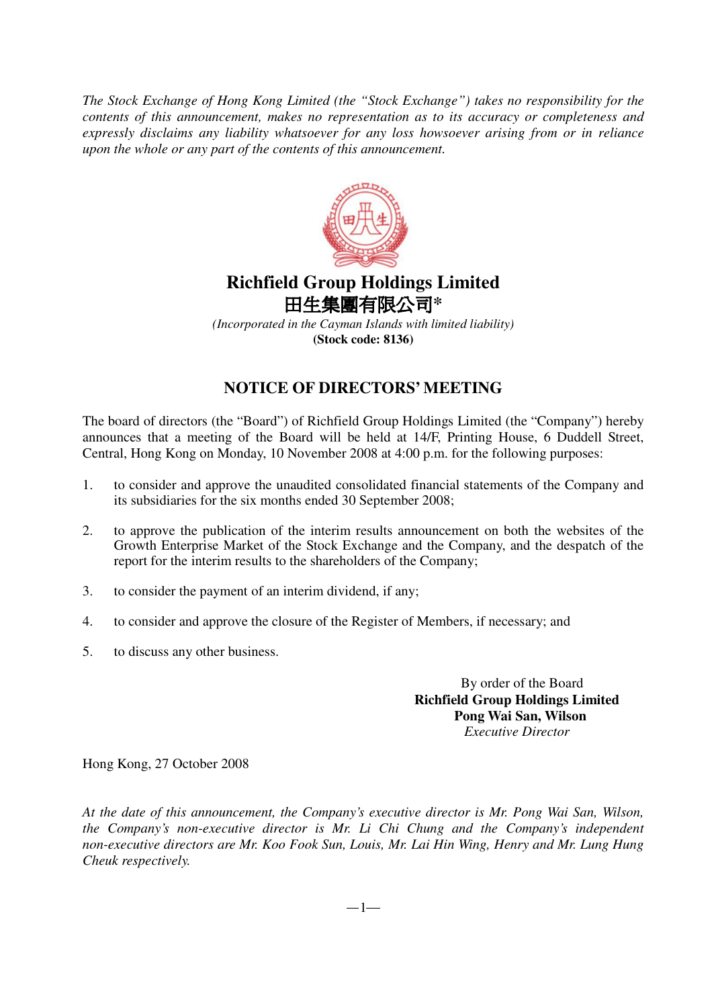*The Stock Exchange of Hong Kong Limited (the "Stock Exchange") takes no responsibility for the contents of this announcement, makes no representation as to its accuracy or completeness and expressly disclaims any liability whatsoever for any loss howsoever arising from or in reliance upon the whole or any part of the contents of this announcement.*



## **Richfield Group Holdings Limited** 田生**集團有限**公司\*

*(Incorporated in the Cayman Islands with limited liability)* **(Stock code: 8136)**

## **NOTICE OF DIRECTORS' MEETING**

The board of directors (the "Board") of Richfield Group Holdings Limited (the "Company") hereby announces that a meeting of the Board will be held at 14/F, Printing House, 6 Duddell Street, Central, Hong Kong on Monday, 10 November 2008 at 4:00 p.m. for the following purposes:

- 1. to consider and approve the unaudited consolidated financial statements of the Company and its subsidiaries for the six months ended 30 September 2008;
- 2. to approve the publication of the interim results announcement on both the websites of the Growth Enterprise Market of the Stock Exchange and the Company, and the despatch of the report for the interim results to the shareholders of the Company;
- 3. to consider the payment of an interim dividend, if any;
- 4. to consider and approve the closure of the Register of Members, if necessary; and
- 5. to discuss any other business.

By order of the Board **Richfield Group Holdings Limited Pong Wai San, Wilson** *Executive Director*

Hong Kong, 27 October 2008

*At the date of this announcement, the Company's executive director is Mr. Pong Wai San, Wilson, the Company's non-executive director is Mr. Li Chi Chung and the Company's independent non-executive directors are Mr. Koo Fook Sun, Louis, Mr. Lai Hin Wing, Henry and Mr. Lung Hung Cheuk respectively.*

 $-1-$